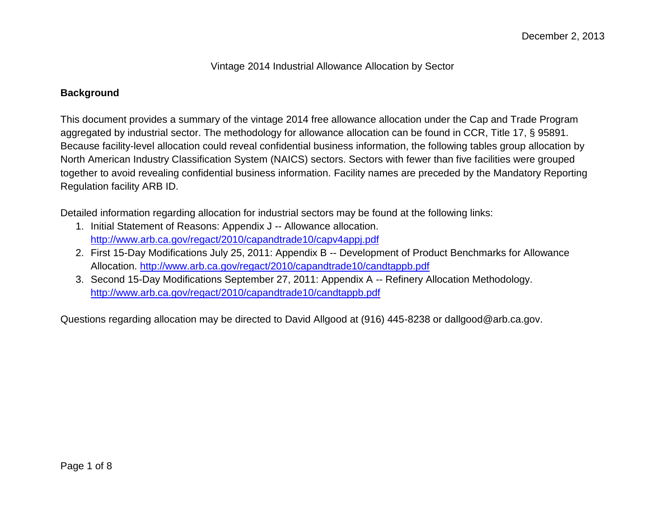Vintage 2014 Industrial Allowance Allocation by Sector

## **Background**

This document provides a summary of the vintage 2014 free allowance allocation under the Cap and Trade Program aggregated by industrial sector. The methodology for allowance allocation can be found in CCR, Title 17, § 95891. Because facility-level allocation could reveal confidential business information, the following tables group allocation by North American Industry Classification System (NAICS) sectors. Sectors with fewer than five facilities were grouped together to avoid revealing confidential business information. Facility names are preceded by the Mandatory Reporting Regulation facility ARB ID.

Detailed information regarding allocation for industrial sectors may be found at the following links:

- 1. Initial Statement of Reasons: Appendix J -- Allowance allocation. <http://www.arb.ca.gov/regact/2010/capandtrade10/capv4appj.pdf>
- 2. First 15-Day Modifications July 25, 2011: Appendix B -- Development of Product Benchmarks for Allowance Allocation.<http://www.arb.ca.gov/regact/2010/capandtrade10/candtappb.pdf>
- 3. Second 15-Day Modifications September 27, 2011: Appendix A -- Refinery Allocation Methodology. <http://www.arb.ca.gov/regact/2010/capandtrade10/candtappb.pdf>

Questions regarding allocation may be directed to David Allgood at (916) 445-8238 or dallgood@arb.ca.gov.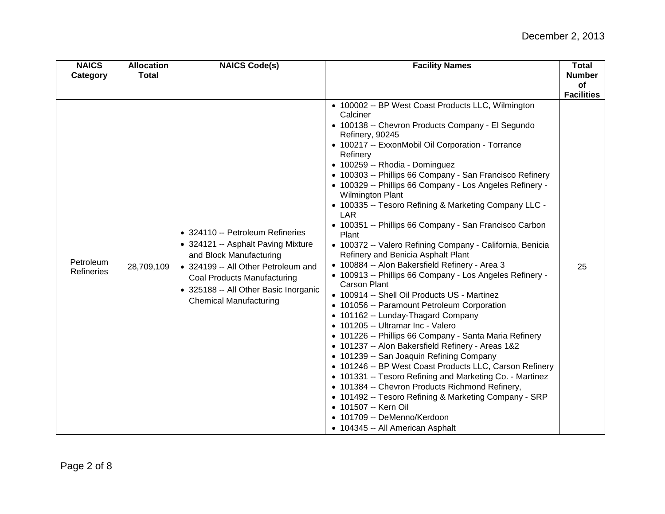| <b>NAICS</b><br>Category | <b>Allocation</b><br><b>Total</b> | <b>NAICS Code(s)</b>                                                                                                                                                                                                                                     | <b>Facility Names</b>                                                                                                                                                                                                                                                                                                                                                                                                                                                                                                                                                                                                                                                                                                                                                                                                                                                                                                                                                                                                                                                                                                                                                                                                                                                                                                                                                                                                               | <b>Total</b><br><b>Number</b><br>of |
|--------------------------|-----------------------------------|----------------------------------------------------------------------------------------------------------------------------------------------------------------------------------------------------------------------------------------------------------|-------------------------------------------------------------------------------------------------------------------------------------------------------------------------------------------------------------------------------------------------------------------------------------------------------------------------------------------------------------------------------------------------------------------------------------------------------------------------------------------------------------------------------------------------------------------------------------------------------------------------------------------------------------------------------------------------------------------------------------------------------------------------------------------------------------------------------------------------------------------------------------------------------------------------------------------------------------------------------------------------------------------------------------------------------------------------------------------------------------------------------------------------------------------------------------------------------------------------------------------------------------------------------------------------------------------------------------------------------------------------------------------------------------------------------------|-------------------------------------|
|                          |                                   |                                                                                                                                                                                                                                                          |                                                                                                                                                                                                                                                                                                                                                                                                                                                                                                                                                                                                                                                                                                                                                                                                                                                                                                                                                                                                                                                                                                                                                                                                                                                                                                                                                                                                                                     | <b>Facilities</b>                   |
| Petroleum<br>Refineries  | 28,709,109                        | • 324110 -- Petroleum Refineries<br>• 324121 -- Asphalt Paving Mixture<br>and Block Manufacturing<br>• 324199 -- All Other Petroleum and<br><b>Coal Products Manufacturing</b><br>• 325188 -- All Other Basic Inorganic<br><b>Chemical Manufacturing</b> | • 100002 -- BP West Coast Products LLC, Wilmington<br>Calciner<br>• 100138 -- Chevron Products Company - El Segundo<br>Refinery, 90245<br>• 100217 -- ExxonMobil Oil Corporation - Torrance<br>Refinery<br>• 100259 -- Rhodia - Dominguez<br>• 100303 -- Phillips 66 Company - San Francisco Refinery<br>• 100329 -- Phillips 66 Company - Los Angeles Refinery -<br><b>Wilmington Plant</b><br>• 100335 -- Tesoro Refining & Marketing Company LLC -<br>LAR<br>• 100351 -- Phillips 66 Company - San Francisco Carbon<br>Plant<br>• 100372 -- Valero Refining Company - California, Benicia<br>Refinery and Benicia Asphalt Plant<br>· 100884 -- Alon Bakersfield Refinery - Area 3<br>• 100913 -- Phillips 66 Company - Los Angeles Refinery -<br>Carson Plant<br>• 100914 -- Shell Oil Products US - Martinez<br>• 101056 -- Paramount Petroleum Corporation<br>• 101162 -- Lunday-Thagard Company<br>• 101205 -- Ultramar Inc - Valero<br>• 101226 -- Phillips 66 Company - Santa Maria Refinery<br>• 101237 -- Alon Bakersfield Refinery - Areas 1&2<br>• 101239 -- San Joaquin Refining Company<br>• 101246 -- BP West Coast Products LLC, Carson Refinery<br>• 101331 -- Tesoro Refining and Marketing Co. - Martinez<br>• 101384 -- Chevron Products Richmond Refinery,<br>• 101492 -- Tesoro Refining & Marketing Company - SRP<br>• 101507 -- Kern Oil<br>• 101709 -- DeMenno/Kerdoon<br>• 104345 -- All American Asphalt | 25                                  |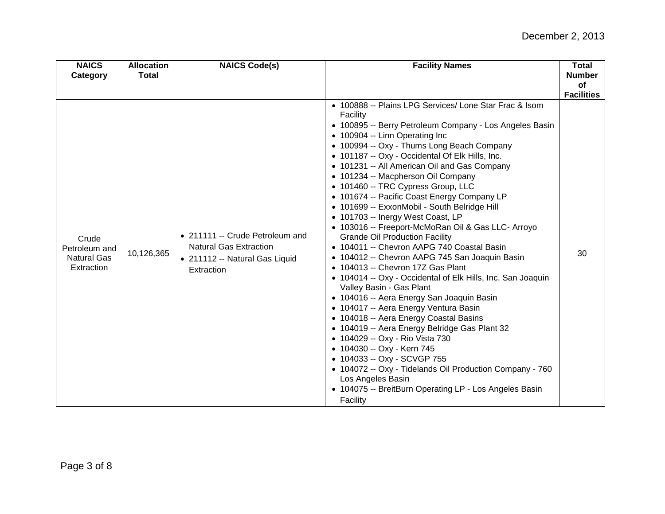| <b>NAICS</b><br>Category                                   | <b>Allocation</b><br><b>Total</b> | <b>NAICS Code(s)</b>                                                                                             | <b>Facility Names</b>                                                                                                                                                                                                                                                                                                                                                                                                                                                                                                                                                                                                                                                                                                                                                                                                                                                                                                                                                                                                                                                                                                                                                                                                                                                                                   | <b>Total</b><br><b>Number</b> |
|------------------------------------------------------------|-----------------------------------|------------------------------------------------------------------------------------------------------------------|---------------------------------------------------------------------------------------------------------------------------------------------------------------------------------------------------------------------------------------------------------------------------------------------------------------------------------------------------------------------------------------------------------------------------------------------------------------------------------------------------------------------------------------------------------------------------------------------------------------------------------------------------------------------------------------------------------------------------------------------------------------------------------------------------------------------------------------------------------------------------------------------------------------------------------------------------------------------------------------------------------------------------------------------------------------------------------------------------------------------------------------------------------------------------------------------------------------------------------------------------------------------------------------------------------|-------------------------------|
|                                                            |                                   |                                                                                                                  |                                                                                                                                                                                                                                                                                                                                                                                                                                                                                                                                                                                                                                                                                                                                                                                                                                                                                                                                                                                                                                                                                                                                                                                                                                                                                                         | of                            |
| Crude<br>Petroleum and<br><b>Natural Gas</b><br>Extraction | 10,126,365                        | • 211111 -- Crude Petroleum and<br><b>Natural Gas Extraction</b><br>• 211112 -- Natural Gas Liquid<br>Extraction | • 100888 -- Plains LPG Services/ Lone Star Frac & Isom<br>Facility<br>• 100895 -- Berry Petroleum Company - Los Angeles Basin<br>• 100904 -- Linn Operating Inc<br>• 100994 -- Oxy - Thums Long Beach Company<br>• 101187 -- Oxy - Occidental Of Elk Hills, Inc.<br>• 101231 -- All American Oil and Gas Company<br>• 101234 -- Macpherson Oil Company<br>• 101460 -- TRC Cypress Group, LLC<br>• 101674 -- Pacific Coast Energy Company LP<br>• 101699 -- ExxonMobil - South Belridge Hill<br>• 101703 -- Inergy West Coast, LP<br>• 103016 -- Freeport-McMoRan Oil & Gas LLC- Arroyo<br><b>Grande Oil Production Facility</b><br>• 104011 -- Chevron AAPG 740 Coastal Basin<br>• 104012 -- Chevron AAPG 745 San Joaquin Basin<br>• 104013 -- Chevron 17Z Gas Plant<br>• 104014 -- Oxy - Occidental of Elk Hills, Inc. San Joaquin<br>Valley Basin - Gas Plant<br>• 104016 -- Aera Energy San Joaquin Basin<br>• 104017 -- Aera Energy Ventura Basin<br>• 104018 -- Aera Energy Coastal Basins<br>• 104019 -- Aera Energy Belridge Gas Plant 32<br>• 104029 -- Oxy - Rio Vista 730<br>• 104030 -- Oxy - Kern 745<br>• 104033 -- Oxy - SCVGP 755<br>• 104072 -- Oxy - Tidelands Oil Production Company - 760<br>Los Angeles Basin<br>• 104075 -- BreitBurn Operating LP - Los Angeles Basin<br>Facility | <b>Facilities</b><br>30       |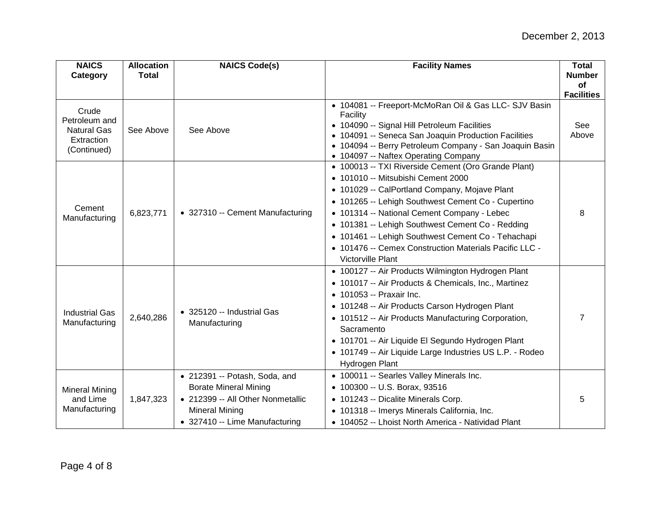| <b>NAICS</b><br>Category                                                  | <b>Allocation</b><br><b>Total</b> | <b>NAICS Code(s)</b>                                                                                                                                          | <b>Facility Names</b>                                                                                                                                                                                                                                                                                                                                                                                                                           | <b>Total</b><br><b>Number</b> |
|---------------------------------------------------------------------------|-----------------------------------|---------------------------------------------------------------------------------------------------------------------------------------------------------------|-------------------------------------------------------------------------------------------------------------------------------------------------------------------------------------------------------------------------------------------------------------------------------------------------------------------------------------------------------------------------------------------------------------------------------------------------|-------------------------------|
|                                                                           |                                   |                                                                                                                                                               |                                                                                                                                                                                                                                                                                                                                                                                                                                                 | of                            |
|                                                                           |                                   |                                                                                                                                                               |                                                                                                                                                                                                                                                                                                                                                                                                                                                 | <b>Facilities</b>             |
| Crude<br>Petroleum and<br><b>Natural Gas</b><br>Extraction<br>(Continued) | See Above                         | See Above                                                                                                                                                     | • 104081 -- Freeport-McMoRan Oil & Gas LLC- SJV Basin<br>Facility<br>· 104090 -- Signal Hill Petroleum Facilities<br>• 104091 -- Seneca San Joaquin Production Facilities<br>• 104094 -- Berry Petroleum Company - San Joaquin Basin<br>• 104097 -- Naftex Operating Company                                                                                                                                                                    | See<br>Above                  |
| Cement<br>Manufacturing                                                   | 6,823,771                         | • 327310 -- Cement Manufacturing                                                                                                                              | • 100013 -- TXI Riverside Cement (Oro Grande Plant)<br>• 101010 -- Mitsubishi Cement 2000<br>• 101029 -- CalPortland Company, Mojave Plant<br>• 101265 -- Lehigh Southwest Cement Co - Cupertino<br>• 101314 -- National Cement Company - Lebec<br>• 101381 -- Lehigh Southwest Cement Co - Redding<br>• 101461 -- Lehigh Southwest Cement Co - Tehachapi<br>• 101476 -- Cemex Construction Materials Pacific LLC -<br><b>Victorville Plant</b> | 8                             |
| <b>Industrial Gas</b><br>Manufacturing                                    | 2,640,286                         | • 325120 -- Industrial Gas<br>Manufacturing                                                                                                                   | • 100127 -- Air Products Wilmington Hydrogen Plant<br>• 101017 -- Air Products & Chemicals, Inc., Martinez<br>• 101053 -- Praxair Inc.<br>• 101248 -- Air Products Carson Hydrogen Plant<br>• 101512 -- Air Products Manufacturing Corporation,<br>Sacramento<br>• 101701 -- Air Liquide El Segundo Hydrogen Plant<br>• 101749 -- Air Liquide Large Industries US L.P. - Rodeo<br>Hydrogen Plant                                                | 7                             |
| <b>Mineral Mining</b><br>and Lime<br>Manufacturing                        | 1,847,323                         | • 212391 -- Potash, Soda, and<br><b>Borate Mineral Mining</b><br>• 212399 -- All Other Nonmetallic<br><b>Mineral Mining</b><br>• 327410 -- Lime Manufacturing | • 100011 -- Searles Valley Minerals Inc.<br>• 100300 -- U.S. Borax, 93516<br>• 101243 -- Dicalite Minerals Corp.<br>• 101318 -- Imerys Minerals California, Inc.<br>• 104052 -- Lhoist North America - Natividad Plant                                                                                                                                                                                                                          | 5                             |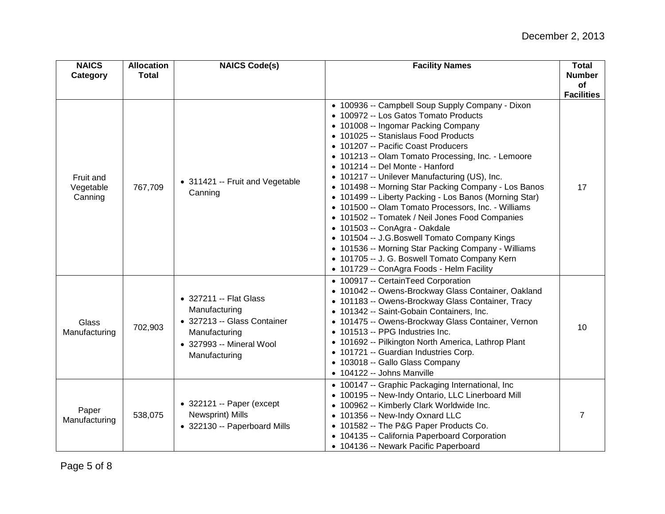| <b>NAICS</b><br>Category          | <b>Allocation</b><br><b>Total</b> | <b>NAICS Code(s)</b>                                                                                                                 | <b>Facility Names</b>                                                                                                                                                                                                                                                                                                                                                                                                                                                                                                                                                                                                                                                                                                                                                                                                       | <b>Total</b><br><b>Number</b> |
|-----------------------------------|-----------------------------------|--------------------------------------------------------------------------------------------------------------------------------------|-----------------------------------------------------------------------------------------------------------------------------------------------------------------------------------------------------------------------------------------------------------------------------------------------------------------------------------------------------------------------------------------------------------------------------------------------------------------------------------------------------------------------------------------------------------------------------------------------------------------------------------------------------------------------------------------------------------------------------------------------------------------------------------------------------------------------------|-------------------------------|
|                                   |                                   |                                                                                                                                      |                                                                                                                                                                                                                                                                                                                                                                                                                                                                                                                                                                                                                                                                                                                                                                                                                             | of                            |
|                                   |                                   |                                                                                                                                      |                                                                                                                                                                                                                                                                                                                                                                                                                                                                                                                                                                                                                                                                                                                                                                                                                             | <b>Facilities</b>             |
| Fruit and<br>Vegetable<br>Canning | 767,709                           | • 311421 -- Fruit and Vegetable<br>Canning                                                                                           | • 100936 -- Campbell Soup Supply Company - Dixon<br>• 100972 -- Los Gatos Tomato Products<br>• 101008 -- Ingomar Packing Company<br>• 101025 -- Stanislaus Food Products<br>• 101207 -- Pacific Coast Producers<br>• 101213 -- Olam Tomato Processing, Inc. - Lemoore<br>• 101214 -- Del Monte - Hanford<br>• 101217 -- Unilever Manufacturing (US), Inc.<br>• 101498 -- Morning Star Packing Company - Los Banos<br>• 101499 -- Liberty Packing - Los Banos (Morning Star)<br>• 101500 -- Olam Tomato Processors, Inc. - Williams<br>• 101502 -- Tomatek / Neil Jones Food Companies<br>• 101503 -- ConAgra - Oakdale<br>• 101504 -- J.G.Boswell Tomato Company Kings<br>• 101536 -- Morning Star Packing Company - Williams<br>• 101705 -- J. G. Boswell Tomato Company Kern<br>• 101729 -- ConAgra Foods - Helm Facility | 17                            |
| Glass<br>Manufacturing            | 702,903                           | • 327211 -- Flat Glass<br>Manufacturing<br>• 327213 -- Glass Container<br>Manufacturing<br>• 327993 -- Mineral Wool<br>Manufacturing | • 100917 -- CertainTeed Corporation<br>• 101042 -- Owens-Brockway Glass Container, Oakland<br>• 101183 -- Owens-Brockway Glass Container, Tracy<br>• 101342 -- Saint-Gobain Containers, Inc.<br>• 101475 -- Owens-Brockway Glass Container, Vernon<br>101513 -- PPG Industries Inc.<br>• 101692 -- Pilkington North America, Lathrop Plant<br>• 101721 -- Guardian Industries Corp.<br>• 103018 -- Gallo Glass Company<br>$\bullet$ 104122 -- Johns Manville                                                                                                                                                                                                                                                                                                                                                                | 10                            |
| Paper<br>Manufacturing            | 538,075                           | $\bullet$ 322121 -- Paper (except<br>Newsprint) Mills<br>• 322130 -- Paperboard Mills                                                | • 100147 -- Graphic Packaging International, Inc<br>• 100195 -- New-Indy Ontario, LLC Linerboard Mill<br>• 100962 -- Kimberly Clark Worldwide Inc.<br>• 101356 -- New-Indy Oxnard LLC<br>• 101582 -- The P&G Paper Products Co.<br>• 104135 -- California Paperboard Corporation<br>• 104136 -- Newark Pacific Paperboard                                                                                                                                                                                                                                                                                                                                                                                                                                                                                                   | 7                             |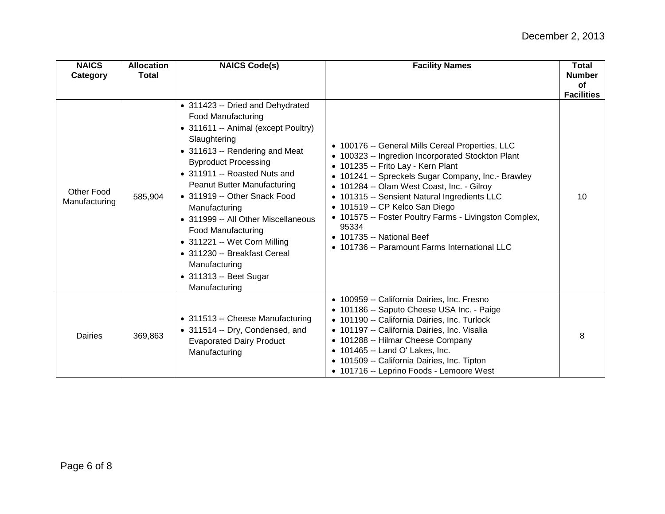| <b>NAICS</b><br>Category           | <b>Allocation</b><br><b>Total</b> | <b>NAICS Code(s)</b>                                                                                                                                                                                                                                                                                                                                                                                                                                                                                  | <b>Facility Names</b>                                                                                                                                                                                                                                                                                                                                                                                                                                                                      | <b>Total</b><br><b>Number</b><br>of<br><b>Facilities</b> |
|------------------------------------|-----------------------------------|-------------------------------------------------------------------------------------------------------------------------------------------------------------------------------------------------------------------------------------------------------------------------------------------------------------------------------------------------------------------------------------------------------------------------------------------------------------------------------------------------------|--------------------------------------------------------------------------------------------------------------------------------------------------------------------------------------------------------------------------------------------------------------------------------------------------------------------------------------------------------------------------------------------------------------------------------------------------------------------------------------------|----------------------------------------------------------|
| <b>Other Food</b><br>Manufacturing | 585,904                           | • 311423 -- Dried and Dehydrated<br><b>Food Manufacturing</b><br>• 311611 -- Animal (except Poultry)<br>Slaughtering<br>• 311613 -- Rendering and Meat<br><b>Byproduct Processing</b><br>• 311911 -- Roasted Nuts and<br>Peanut Butter Manufacturing<br>• 311919 -- Other Snack Food<br>Manufacturing<br>• 311999 -- All Other Miscellaneous<br><b>Food Manufacturing</b><br>• 311221 -- Wet Corn Milling<br>• 311230 -- Breakfast Cereal<br>Manufacturing<br>• 311313 -- Beet Sugar<br>Manufacturing | • 100176 -- General Mills Cereal Properties, LLC<br>• 100323 -- Ingredion Incorporated Stockton Plant<br>• 101235 -- Frito Lay - Kern Plant<br>• 101241 -- Spreckels Sugar Company, Inc.- Brawley<br>• 101284 -- Olam West Coast, Inc. - Gilroy<br>• 101315 -- Sensient Natural Ingredients LLC<br>• 101519 -- CP Kelco San Diego<br>• 101575 -- Foster Poultry Farms - Livingston Complex,<br>95334<br>$\bullet$ 101735 -- National Beef<br>• 101736 -- Paramount Farms International LLC | 10                                                       |
| Dairies                            | 369,863                           | • 311513 -- Cheese Manufacturing<br>• 311514 -- Dry, Condensed, and<br><b>Evaporated Dairy Product</b><br>Manufacturing                                                                                                                                                                                                                                                                                                                                                                               | • 100959 -- California Dairies, Inc. Fresno<br>• 101186 -- Saputo Cheese USA Inc. - Paige<br>• 101190 -- California Dairies, Inc. Turlock<br>• 101197 -- California Dairies, Inc. Visalia<br>• 101288 -- Hilmar Cheese Company<br>• 101465 -- Land O' Lakes, Inc.<br>• 101509 -- California Dairies, Inc. Tipton<br>• 101716 -- Leprino Foods - Lemoore West                                                                                                                               | 8                                                        |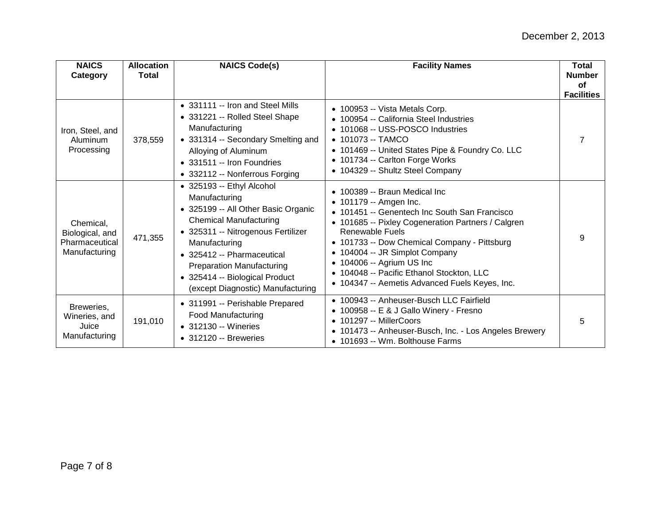| <b>NAICS</b><br>Category                                        | <b>Allocation</b><br>Total | <b>NAICS Code(s)</b>                                                                                                                                                                                                                                                                                               | <b>Facility Names</b>                                                                                                                                                                                                                                                                                                                                                                           | <b>Total</b><br><b>Number</b><br><b>of</b><br><b>Facilities</b> |
|-----------------------------------------------------------------|----------------------------|--------------------------------------------------------------------------------------------------------------------------------------------------------------------------------------------------------------------------------------------------------------------------------------------------------------------|-------------------------------------------------------------------------------------------------------------------------------------------------------------------------------------------------------------------------------------------------------------------------------------------------------------------------------------------------------------------------------------------------|-----------------------------------------------------------------|
| Iron, Steel, and<br>Aluminum<br>Processing                      | 378,559                    | • 331111 -- Iron and Steel Mills<br>• 331221 -- Rolled Steel Shape<br>Manufacturing<br>• 331314 -- Secondary Smelting and<br>Alloying of Aluminum<br>• 331511 -- Iron Foundries<br>• 332112 -- Nonferrous Forging                                                                                                  | • 100953 -- Vista Metals Corp.<br>• 100954 -- California Steel Industries<br>• 101068 -- USS-POSCO Industries<br>$\bullet$ 101073 -- TAMCO<br>• 101469 -- United States Pipe & Foundry Co. LLC<br>• 101734 -- Carlton Forge Works<br>• 104329 -- Shultz Steel Company                                                                                                                           | 7                                                               |
| Chemical,<br>Biological, and<br>Pharmaceutical<br>Manufacturing | 471,355                    | • 325193 -- Ethyl Alcohol<br>Manufacturing<br>• 325199 -- All Other Basic Organic<br><b>Chemical Manufacturing</b><br>• 325311 -- Nitrogenous Fertilizer<br>Manufacturing<br>• 325412 -- Pharmaceutical<br><b>Preparation Manufacturing</b><br>• 325414 -- Biological Product<br>(except Diagnostic) Manufacturing | • 100389 -- Braun Medical Inc<br>• 101179 -- Amgen Inc.<br>• 101451 -- Genentech Inc South San Francisco<br>• 101685 -- Pixley Cogeneration Partners / Calgren<br>Renewable Fuels<br>• 101733 -- Dow Chemical Company - Pittsburg<br>• 104004 -- JR Simplot Company<br>• 104006 -- Agrium US Inc<br>• 104048 -- Pacific Ethanol Stockton, LLC<br>• 104347 -- Aemetis Advanced Fuels Keyes, Inc. | 9                                                               |
| Breweries,<br>Wineries, and<br>Juice<br>Manufacturing           | 191,010                    | • 311991 -- Perishable Prepared<br>Food Manufacturing<br>• 312130 -- Wineries<br>$\bullet$ 312120 -- Breweries                                                                                                                                                                                                     | • 100943 -- Anheuser-Busch LLC Fairfield<br>• 100958 -- E & J Gallo Winery - Fresno<br>• 101297 -- MillerCoors<br>• 101473 -- Anheuser-Busch, Inc. - Los Angeles Brewery<br>• 101693 -- Wm. Bolthouse Farms                                                                                                                                                                                     | 5                                                               |